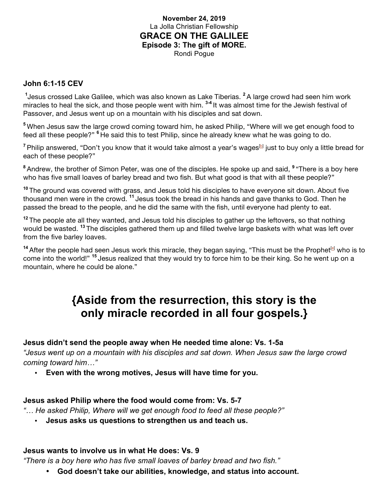## **November 24, 2019** La Jolla Christian Fellowship **GRACE ON THE GALILEE Episode 3: The gift of MORE.** Rondi Pogue

#### **John 6:1-15 CEV**

**1** Jesus crossed Lake Galilee, which was also known as Lake Tiberias. **<sup>2</sup>**A large crowd had seen him work miracles to heal the sick, and those people went with him. **3-4** It was almost time for the Jewish festival of Passover, and Jesus went up on a mountain with his disciples and sat down.

**<sup>5</sup>** When Jesus saw the large crowd coming toward him, he asked Philip, "Where will we get enough food to feed all these people?" **<sup>6</sup>** He said this to test Philip, since he already knew what he was going to do.

<sup>7</sup> Philip answered, "Don't you know that it would take almost a year's wages<sup>[b]</sup> just to buy only a little bread for each of these people?"

**<sup>8</sup>** Andrew, the brother of Simon Peter, was one of the disciples. He spoke up and said, **<sup>9</sup>** "There is a boy here who has five small loaves of barley bread and two fish. But what good is that with all these people?"

**<sup>10</sup>** The ground was covered with grass, and Jesus told his disciples to have everyone sit down. About five thousand men were in the crowd. **<sup>11</sup>** Jesus took the bread in his hands and gave thanks to God. Then he passed the bread to the people, and he did the same with the fish, until everyone had plenty to eat.

**<sup>12</sup>** The people ate all they wanted, and Jesus told his disciples to gather up the leftovers, so that nothing would be wasted. **<sup>13</sup>** The disciples gathered them up and filled twelve large baskets with what was left over from the five barley loaves.

<sup>14</sup> After the people had seen Jesus work this miracle, they began saying, "This must be the Prophet<sup>[e]</sup> who is to come into the world!" **<sup>15</sup>** Jesus realized that they would try to force him to be their king. So he went up on a mountain, where he could be alone."

# **{Aside from the resurrection, this story is the only miracle recorded in all four gospels.}**

## **Jesus didn't send the people away when He needed time alone: Vs. 1-5a**

*"Jesus went up on a mountain with his disciples and sat down. When Jesus saw the large crowd coming toward him…"*

• **Even with the wrong motives, Jesus will have time for you.** 

#### **Jesus asked Philip where the food would come from: Vs. 5-7**

*"… He asked Philip, Where will we get enough food to feed all these people?"*

• **Jesus asks us questions to strengthen us and teach us.**

#### **Jesus wants to involve us in what He does: Vs. 9**

*"There is a boy here who has five small loaves of barley bread and two fish."*

• **God doesn't take our abilities, knowledge, and status into account.**